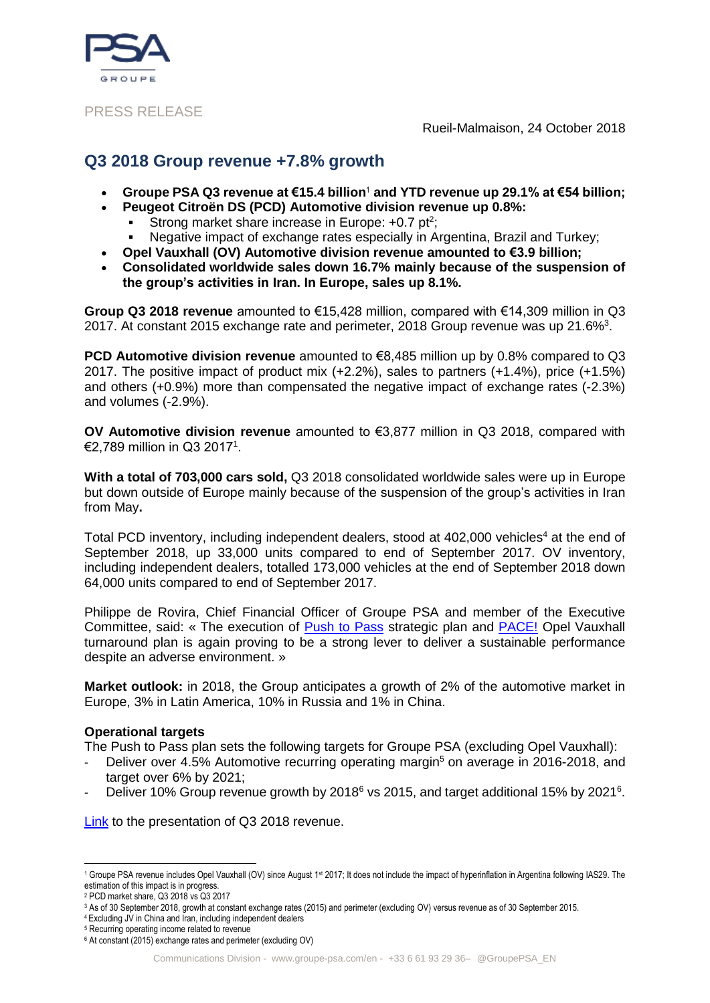

# PRESS RELEASE

Rueil-Malmaison, 24 October 2018

# **Q3 2018 Group revenue +7.8% growth**

- **Groupe PSA Q3 revenue at €15.4 billion**<sup>1</sup> **and YTD revenue up 29.1% at €54 billion;**
- **Peugeot Citroën DS (PCD) Automotive division revenue up 0.8%:**
	- Strong market share increase in Europe:  $+0.7$  pt<sup>2</sup>;
	- Negative impact of exchange rates especially in Argentina, Brazil and Turkey;
- **Opel Vauxhall (OV) Automotive division revenue amounted to €3.9 billion;**
- **Consolidated worldwide sales down 16.7% mainly because of the suspension of the group's activities in Iran. In Europe, sales up 8.1%.**

**Group Q3 2018 revenue** amounted to €15,428 million, compared with €14,309 million in Q3 2017. At constant 2015 exchange rate and perimeter, 2018 Group revenue was up 21.6%<sup>3</sup>.

**PCD Automotive division revenue** amounted to €8,485 million up by 0.8% compared to Q3 2017. The positive impact of product mix (+2.2%), sales to partners (+1.4%), price (+1.5%) and others (+0.9%) more than compensated the negative impact of exchange rates (-2.3%) and volumes (-2.9%).

**OV Automotive division revenue** amounted to €3,877 million in Q3 2018, compared with €2,789 million in Q3 2017<sup>1</sup> .

**With a total of 703,000 cars sold,** Q3 2018 consolidated worldwide sales were up in Europe but down outside of Europe mainly because of the suspension of the group's activities in Iran from May**.**

Total PCD inventory, including independent dealers, stood at  $402,000$  vehicles<sup>4</sup> at the end of September 2018, up 33,000 units compared to end of September 2017. OV inventory, including independent dealers, totalled 173,000 vehicles at the end of September 2018 down 64,000 units compared to end of September 2017.

Philippe de Rovira, Chief Financial Officer of Groupe PSA and member of the Executive Committee, said: « The execution of **[Push to Pass](https://www.groupe-psa.com/en/automotive-group/strategy/)** strategic plan and **PACE!** Opel Vauxhall turnaround plan is again proving to be a strong lever to deliver a sustainable performance despite an adverse environment. »

**Market outlook:** in 2018, the Group anticipates a growth of 2% of the automotive market in Europe, 3% in Latin America, 10% in Russia and 1% in China.

# **Operational targets**

The Push to Pass plan sets the following targets for Groupe PSA (excluding Opel Vauxhall):

- Deliver over 4.5% Automotive recurring operating margin<sup>5</sup> on average in 2016-2018, and target over 6% by 2021;
- Deliver 10% Group revenue growth by 2018 $^6$  vs 2015, and target additional 15% by 2021 $^6$ .

[Link](https://www.groupe-psa.com/en/newsroom/finance/q3-2018-revenue/) to the presentation of Q3 2018 revenue.

<sup>&</sup>lt;u>.</u> <sup>1</sup> Groupe PSA revenue includes Opel Vauxhall (OV) since August 1st 2017; It does not include the impact of hyperinflation in Argentina following IAS29. The estimation of this impact is in progress.

<sup>2</sup> PCD market share, Q3 2018 vs Q3 2017

<sup>3</sup> As of 30 September 2018, growth at constant exchange rates (2015) and perimeter (excluding OV) versus revenue as of 30 September 2015.

<sup>4</sup> Excluding JV in China and Iran, including independent dealers

<sup>5</sup> Recurring operating income related to revenue

<sup>6</sup> At constant (2015) exchange rates and perimeter (excluding OV)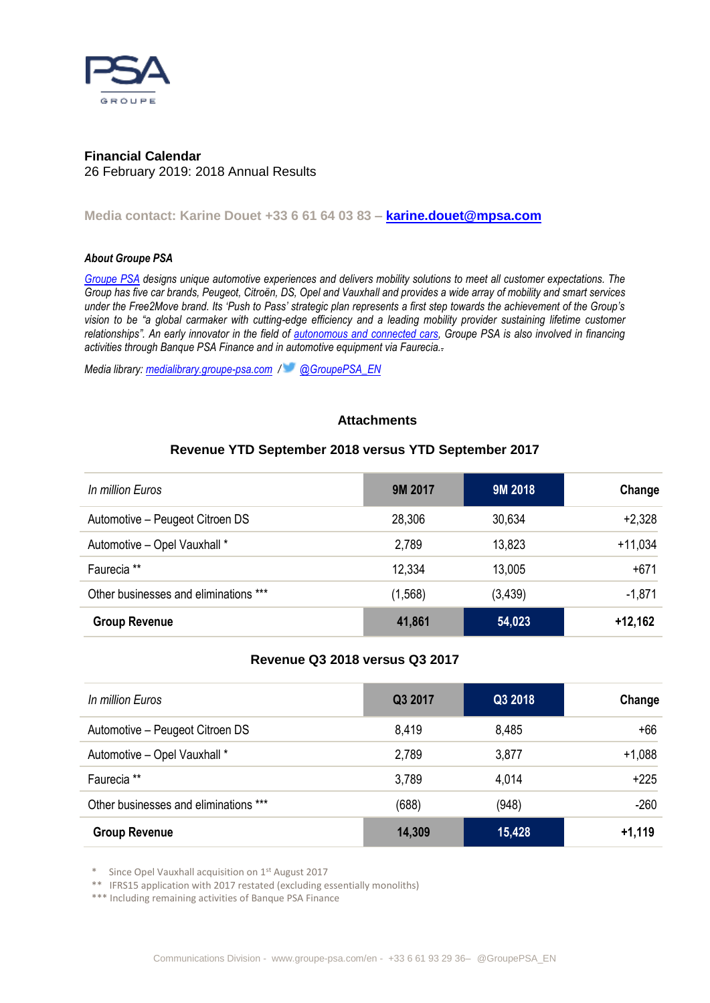

# **Financial Calendar** 26 February 2019: 2018 Annual Results

### **Media contact: Karine Douet +33 6 61 64 03 83 – [karine.douet@mpsa.com](mailto:karine.douet@mpsa.com)**

#### *About Groupe PSA*

*[Groupe PSA](https://www.groupe-psa.com/fr) designs unique automotive experiences and delivers mobility solutions to meet all customer expectations. The Group has five car brands, Peugeot, Citroën, DS, Opel and Vauxhall and provides a wide array of mobility and smart services under the Free2Move brand. Its 'Push to Pass' strategic plan represents a first step towards the achievement of the Group's vision to be "a global carmaker with cutting-edge efficiency and a leading mobility provider sustaining lifetime customer relationships". An early innovator in the field of [autonomous and connected cars,](https://www.groupe-psa.com/en/story/en-route-vers-la-voiture-autonome/) Groupe PSA is also involved in financing activities through Banque PSA Finance and in automotive equipment via Faurecia..*

*Media library: [medialibrary.groupe-psa.com](http://medialibrary.groupe-psa.com/) / [@GroupePSA\\_EN](https://twitter.com/GroupePSA_EN)*

#### **Attachments**

#### **Revenue YTD September 2018 versus YTD September 2017**

| In million Euros                      | 9M 2017 | 9M 2018  | Change    |
|---------------------------------------|---------|----------|-----------|
| Automotive - Peugeot Citroen DS       | 28,306  | 30,634   | $+2,328$  |
| Automotive - Opel Vauxhall *          | 2,789   | 13,823   | $+11,034$ |
| Faurecia **                           | 12,334  | 13,005   | $+671$    |
| Other businesses and eliminations *** | (1,568) | (3, 439) | $-1,871$  |
| <b>Group Revenue</b>                  | 41,861  | 54,023   | $+12,162$ |

# **Revenue Q3 2018 versus Q3 2017**

| In million Euros                      | Q3 2017 | Q3 2018 | Change   |
|---------------------------------------|---------|---------|----------|
| Automotive - Peugeot Citroen DS       | 8,419   | 8,485   | $+66$    |
| Automotive - Opel Vauxhall *          | 2,789   | 3,877   | $+1,088$ |
| Faurecia <sup>**</sup>                | 3,789   | 4,014   | $+225$   |
| Other businesses and eliminations *** | (688)   | (948)   | $-260$   |
| <b>Group Revenue</b>                  | 14,309  | 15,428  | $+1,119$ |

\* Since Opel Vauxhall acquisition on 1st August 2017

\*\* IFRS15 application with 2017 restated (excluding essentially monoliths)

\*\*\* Including remaining activities of Banque PSA Finance